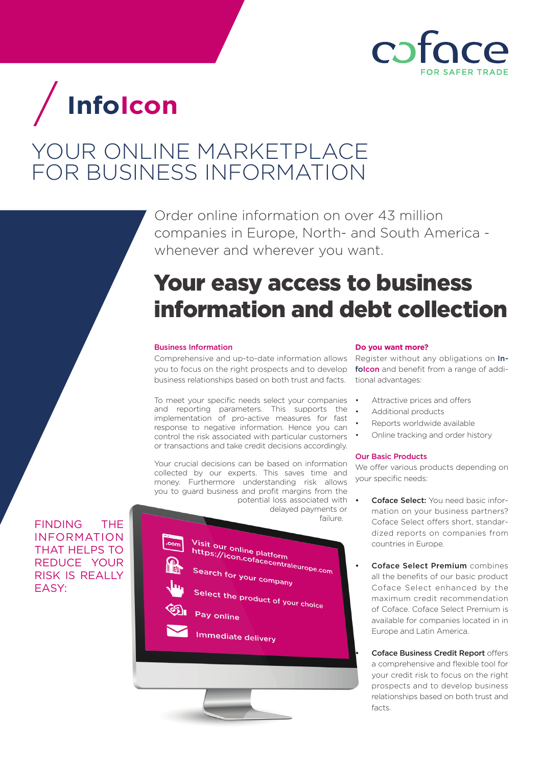

# **InfoIcon**

### YOUR ONLINE MARKETPLACE FOR BUSINESS INFORMATION

Order online information on over 43 million companies in Europe, North- and South America whenever and wherever you want.

## Your easy access to business information and debt collection

#### Business Information

Comprehensive and up-to-date information allows you to focus on the right prospects and to develop business relationships based on both trust and facts.

To meet your specific needs select your companies and reporting parameters. This supports the implementation of pro-active measures for fast response to negative information. Hence you can control the risk associated with particular customers or transactions and take credit decisions accordingly.

Your crucial decisions can be based on information collected by our experts. This saves time and money. Furthermore understanding risk allows you to guard business and profit margins from the

 potential loss associated with delayed payments or **FINDING** THE **FINDING** THE **FINDING** THE **FINDING** 



#### **Do you want more?**

Register without any obligations on Infolcon and benefit from a range of additional advantages:

- Attractive prices and offers
- Additional products
- Reports worldwide available
- Online tracking and order history

#### Our Basic Products

We offer various products depending on your specific needs:

- Coface Select: You need basic information on your business partners? Coface Select offers short, standardized reports on companies from countries in Europe.
	- Coface Select Premium combines all the benefits of our basic product Coface Select enhanced by the maximum credit recommendation of Coface. Coface Select Premium is available for companies located in in Europe and Latin America.

Coface Business Credit Report offers a comprehensive and flexible tool for your credit risk to focus on the right prospects and to develop business relationships based on both trust and facts.

INFORMATION THAT HELPS TO REDUCE YOUR RISK IS REALLY EASY: